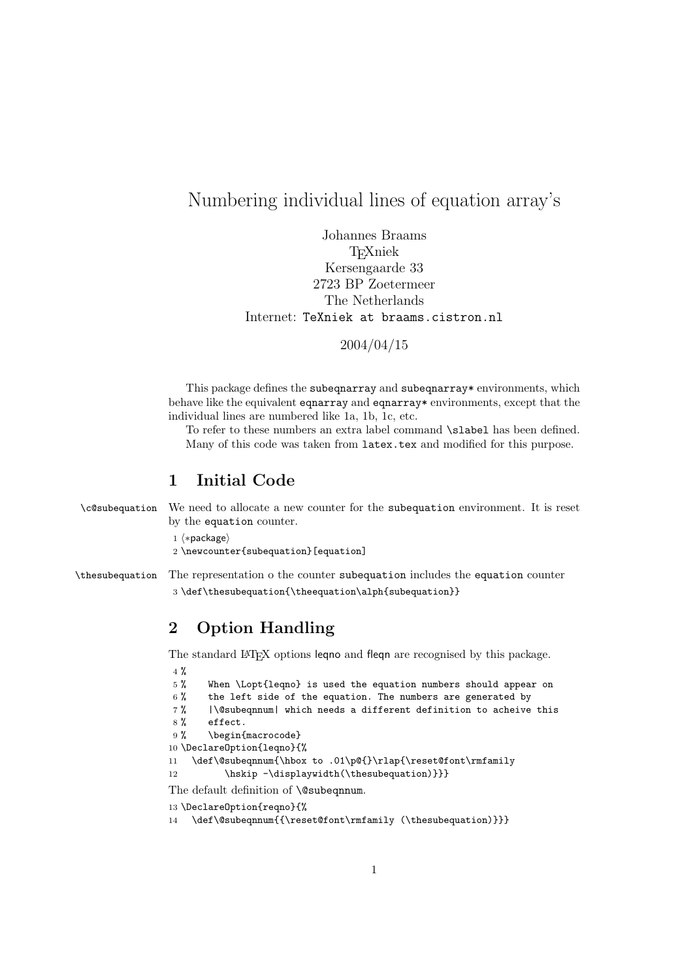## Numbering individual lines of equation array's

Johannes Braams TEXniek Kersengaarde 33 2723 BP Zoetermeer The Netherlands Internet: TeXniek at braams.cistron.nl

2004/04/15

This package defines the subequarray and subequarray\* environments, which behave like the equivalent eqnarray and eqnarray\* environments, except that the individual lines are numbered like 1a, 1b, 1c, etc.

To refer to these numbers an extra label command \slabel has been defined. Many of this code was taken from latex.tex and modified for this purpose.

#### 1 Initial Code

\c@subequation We need to allocate a new counter for the subequation environment. It is reset by the equation counter.

1  $\langle *package \rangle$ 

2 \newcounter{subequation}[equation]

\thesubequation The representation o the counter subequation includes the equation counter 3 \def\thesubequation{\theequation\alph{subequation}}

### 2 Option Handling

The standard L<sup>A</sup>T<sub>E</sub>X options leqno and fleqn are recognised by this package.

```
4 %
5 % When \Lopt{leqno} is used the equation numbers should appear on
6 % the left side of the equation. The numbers are generated by
7 % |\@subeqnnum| which needs a different definition to acheive this
8 % effect.
9% \begin{macrocode}
10 \DeclareOption{leqno}{%
11 \def\@subeqnnum{\hbox to .01\p@{}\rlap{\reset@font\rmfamily
12 \hskip -\displaywidth(\thesubequation)}}}
The default definition of \@subeqnnum.
13 \DeclareOption{reqno}{%
```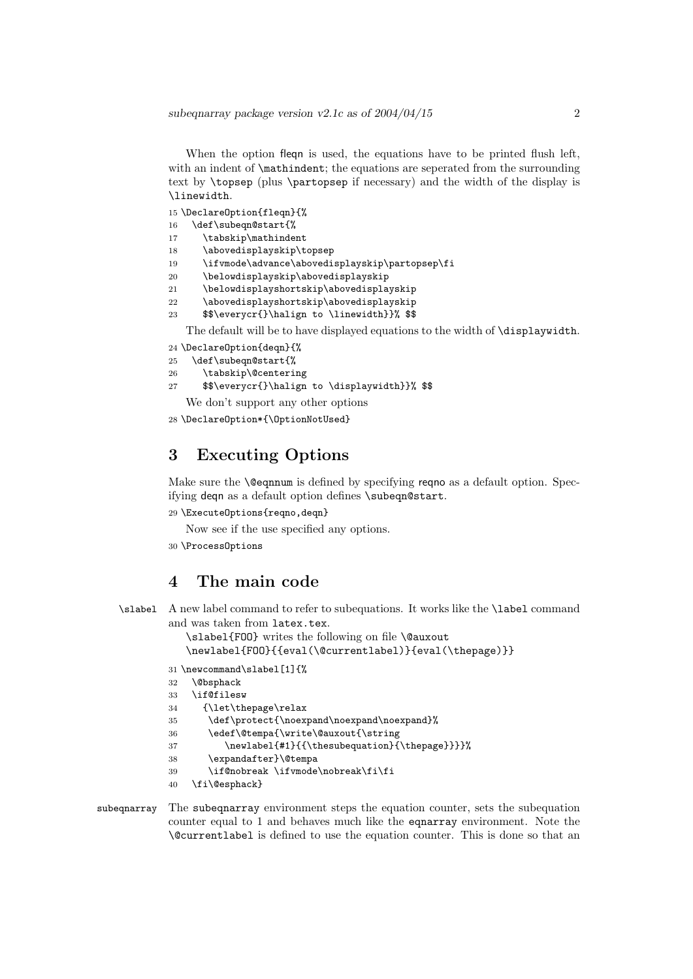When the option fleqn is used, the equations have to be printed flush left, with an indent of  $\mathcal{S}$ : the equations are seperated from the surrounding text by \topsep (plus \partopsep if necessary) and the width of the display is \linewidth.

15 \DeclareOption{fleqn}{%

- 16 \def\subeqn@start{%
- 17 \tabskip\mathindent
- 18 \abovedisplayskip\topsep
- 19 \ifvmode\advance\abovedisplayskip\partopsep\fi
- 20 \belowdisplayskip\abovedisplayskip
- 21 \belowdisplayshortskip\abovedisplayskip
- 22 \abovedisplayshortskip\abovedisplayskip 23 \$\$\everycr{}\halign to \linewidth}}% \$\$
- 

The default will be to have displayed equations to the width of \displaywidth.

- 24 \DeclareOption{deqn}{%
- 25 \def\subeqn@start{%
- 26 \tabskip\@centering
- 27 \$\$\everycr{}\halign to \displaywidth}}% \$\$
- We don't support any other options

```
28 \DeclareOption*{\OptionNotUsed}
```
#### 3 Executing Options

Make sure the **\@eqnnum** is defined by specifying reqno as a default option. Specifying deqn as a default option defines \subeqn@start.

29 \ExecuteOptions{reqno,deqn}

Now see if the use specified any options.

30 \ProcessOptions

#### 4 The main code

```
\slabel A new label command to refer to subequations. It works like the \label command
         and was taken from latex.tex.
```
\slabel{FOO} writes the following on file \@auxout

\newlabel{FOO}{{eval(\@currentlabel)}{eval(\thepage)}}

```
31 \newcommand\slabel[1]{%
```

```
32 \@bsphack
```

```
33 \if@filesw
```

```
34 {\let\thepage\relax
```

```
35 \def\protect{\noexpand\noexpand\noexpand}%
```
36 \edef\@tempa{\write\@auxout{\string

```
37 \newlabel{#1}{{\thesubequation}{\thepage}}}}%
```

```
38 \expandafter}\@tempa
```

```
39 \if@nobreak \ifvmode\nobreak\fi\fi
```

```
40 \fi\@esphack}
```

```
subeqnarray The subeqnarray environment steps the equation counter, sets the subequation
             counter equal to 1 and behaves much like the eqnarray environment. Note the
             \@currentlabel is defined to use the equation counter. This is done so that an
```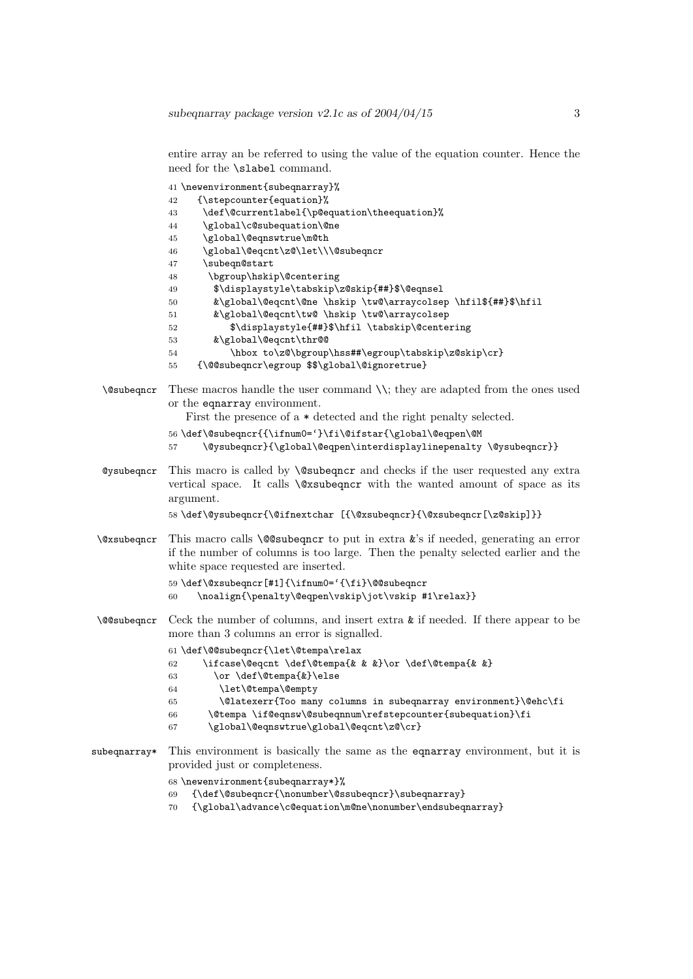entire array an be referred to using the value of the equation counter. Hence the need for the \slabel command.

```
41 \newenvironment{subeqnarray}%
             42 {\stepcounter{equation}%
             43 \def\@currentlabel{\p@equation\theequation}%
             44 \global\c@subequation\@ne
             45 \global\@eqnswtrue\m@th
             46 \global\@eqcnt\z@\let\\\@subeqncr
             47 \subeqn@start
             48 \bgroup\hskip\@centering
             49 $\displaystyle\tabskip\z@skip{##}$\@eqnsel
             50 &\global\@eqcnt\@ne \hskip \tw@\arraycolsep \hfil${##}$\hfil
             51 &\global\@eqcnt\tw@ \hskip \tw@\arraycolsep
             52 $\displaystyle{##}$\hfil \tabskip\@centering
             53 &\global\@eqcnt\thr@@
             54 \hbox to\z@\bgroup\hss##\egroup\tabskip\z@skip\cr}
             55 {\@@subeqncr\egroup $$\global\@ignoretrue}
 \@subeqncr These macros handle the user command \\; they are adapted from the ones used
             or the eqnarray environment.
                First the presence of a * detected and the right penalty selected.
             56 \def\@subeqncr{{\ifnum0='}\fi\@ifstar{\global\@eqpen\@M
                   \@ysubeqncr}{\global\@eqpen\interdisplaylinepenalty \@ysubeqncr}}
 @ysubeqncr This macro is called by \@subeqncr and checks if the user requested any extra
             vertical space. It calls \@xsubeqncr with the wanted amount of space as its
             argument.
             58 \def\@ysubeqncr{\@ifnextchar [{\@xsubeqncr}{\@xsubeqncr[\z@skip]}}
 \@xsubeqncr This macro calls \@@subeqncr to put in extra &'s if needed, generating an error
             if the number of columns is too large. Then the penalty selected earlier and the
             white space requested are inserted.
             59 \def\@xsubeqncr[#1]{\ifnum0='{\fi}\@@subeqncr
             60 \noalign{\penalty\@eqpen\vskip\jot\vskip #1\relax}}
 \@@subeqncr Ceck the number of columns, and insert extra & if needed. If there appear to be
             more than 3 columns an error is signalled.
             61 \def\@@subeqncr{\let\@tempa\relax
             62 \ifcase\@eqcnt \def\@tempa{& & &}\or \def\@tempa{& &}
             63 \or \def\@tempa{&}\else
             64 \let\@tempa\@empty
             65 \@latexerr{Too many columns in subeqnarray environment}\@ehc\fi
             66 \@tempa \if@eqnsw\@subeqnnum\refstepcounter{subequation}\fi
             67 \global\@eqnswtrue\global\@eqcnt\z@\cr}
subeqnarray* This environment is basically the same as the eqnarray environment, but it is
             provided just or completeness.
             68 \newenvironment{subeqnarray*}%
             69 {\def\@subeqncr{\nonumber\@ssubeqncr}\subeqnarray}
```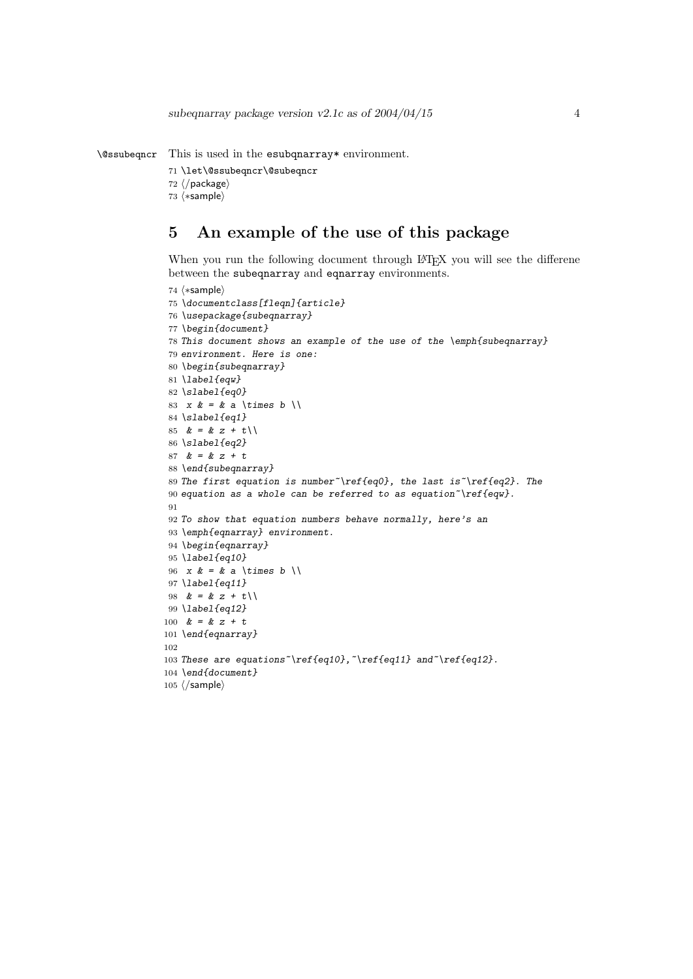```
\@ssubeqncr This is used in the esubqnarray* environment.
```

```
71 \let\@ssubeqncr\@subeqncr
```

```
72 \langle/package\rangle
```
 $73$   $\langle$ \*sample $\rangle$ 

## 5 An example of the use of this package

When you run the following document through LATEX you will see the differene between the subeqnarray and eqnarray environments.

```
74 \langle \astsample\rangle75 \documentclass[fleqn]{article}
76 \usepackage{subeqnarray}
77 \begin{document}
78 This document shows an example of the use of the \emph{subeqnarray}
 79 environment. Here is one:
80 \begin{subeqnarray}
81 \label{eqw}
82 \slabel{eq0}
83 x \& = \& a \times \text{times } b \times \text{)}84 \slabel{eq1}
85 & = & z + t \setminus86 \slabel{eq2}
87 & = & z + t88 \end{subeqnarray}
 89 The first equation is number~\ref{eq0}, the last is~\ref{eq2}. The
90 equation as a whole can be referred to as equation \text{ref}\{eqw\}.91
92 To show that equation numbers behave normally, here's an
93 \emph{eqnarray} environment.
94 \begin{eqnarray}
95 \label{eq10}
96 x \& = \& a \times \times b \times b97 \label{eq11}
98 & = & z + t \cup99 \label{eq12}
100 & = & z + t101 \end{eqnarray}
102
103 These are equations \ref{eq10}, \ref{eq11} and \ref{eq12}.
104 \end{document}
105 \langle/sample\rangle
```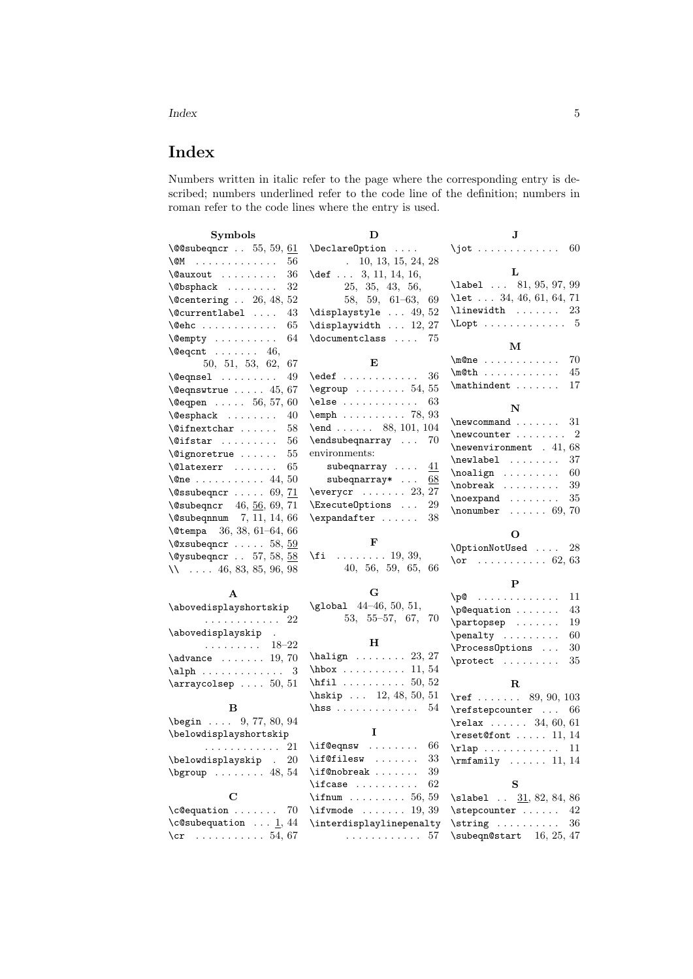Index 5

# Index

Numbers written in italic refer to the page where the corresponding entry is described; numbers underlined refer to the code line of the definition; numbers in roman refer to the code lines where the entry is used.

| <b>Symbols</b>                                                                                     | D                                                                                                                                                                               | J                                                 |
|----------------------------------------------------------------------------------------------------|---------------------------------------------------------------------------------------------------------------------------------------------------------------------------------|---------------------------------------------------|
| $\sqrt{0}$ subeqncr55, 59, 61                                                                      | $\Delta$ relareOption                                                                                                                                                           | $\int$ jot  60                                    |
| $\sim$<br>\@M<br>56                                                                                | $\ldots$ 10, 13, 15, 24, 28                                                                                                                                                     |                                                   |
| \@auxout<br>36                                                                                     | \def  3, 11, 14, 16,                                                                                                                                                            | L                                                 |
| \@bsphack<br>32                                                                                    | 25, 35, 43, 56,                                                                                                                                                                 | \label  81, 95, 97, 99                            |
| $\text{^\circ}$ 26, 48, 52                                                                         | 58, 59, 61-63, 69                                                                                                                                                               | \let $\ldots$ 34, 46, 61, 64, 71                  |
| \@currentlabel<br>43                                                                               | \displaystyle  49, 52                                                                                                                                                           | $\{\$ {linewidth} \dots \dots<br>23               |
| 65<br>$\text{Qehc}$                                                                                | $\displaystyle\big\{\text{displaywidth}\ \dots\ 12,27\ \$                                                                                                                       | $\text{Lopt}$ 5                                   |
| 64<br>$\emptyset$ empty                                                                            | \documentclass<br>75                                                                                                                                                            |                                                   |
| $\text{Vecqcnt} \dots \dots \quad 46,$                                                             |                                                                                                                                                                                 | м                                                 |
| 50, 51, 53, 62, 67                                                                                 | Е                                                                                                                                                                               | \m@ne<br>70                                       |
| $\texttt{\textbackslash}\mathbb{C}$ eqnsel<br>49                                                   | $\text{led}$ edef<br>36                                                                                                                                                         | 45<br>$\m0th$                                     |
| $\text{Qeqnswitch} \dots \dots \ 45, 67$                                                           | $\qquad \ldots \ldots 54, 55$                                                                                                                                                   | $\mathcal{L}$<br>17                               |
| $\text{Veqpen}$ 56, 57, 60                                                                         | $\texttt{else} \dots \dots \dots$<br>63                                                                                                                                         | N                                                 |
| $\texttt{{\char'134}deck   .}$<br>40                                                               | $\text{temph} \ldots \ldots \ldots \quad 78,93$                                                                                                                                 |                                                   |
| $\left\{ \circlearrowright$<br>58                                                                  | $\text{end } \dots \dots \quad 88, 101, 104$                                                                                                                                    | $\newcommand \dots \dots 31$<br>$\neq$ 2          |
| $\left\{ \text{Cifstar} \dots \dots \right\}$<br>56                                                | $\endsubstack{$ 70                                                                                                                                                              |                                                   |
| $\sqrt{q}$ ignoretrue<br>55                                                                        | environments:                                                                                                                                                                   | $\neq$ 11, 68<br>$\neq$<br>37                     |
| \@latexerr<br>65                                                                                   | subeqnarray<br>41                                                                                                                                                               | $\n\Delta ign \dots \dots$<br>60                  |
| $\{\text{One} \dots \dots \dots \ 44, 50\}$                                                        | $subeqnarray*$<br>68                                                                                                                                                            | $\boldsymbol{\lambda} \ldots \ldots$<br>39        |
| $\text{V}$ ssubeqncr  69, 71                                                                       | $\text{everyc}$ 23, 27                                                                                                                                                          | 35<br>$\neq$ $\neq$                               |
| \@subeqncr 46, 56, 69, 71                                                                          | \ExecuteOptions<br>29                                                                                                                                                           | $\text{nonumber} \quad 69, 70$                    |
| $\text{Qsubeqnum}$ 7, 11, 14, 66                                                                   | $\expandafter \ldots$ .<br>38                                                                                                                                                   |                                                   |
| \@tempa 36, 38, 61-64, 66                                                                          |                                                                                                                                                                                 | O                                                 |
| $\sqrt{Qx}$ subeqncr  58, 59                                                                       | F                                                                                                                                                                               | \OptionNotUsed  28                                |
| \@ysubeqncr . 57, 58, 58                                                                           | $\{f_i$ 19, 39,                                                                                                                                                                 | $\sigma$ 62, 63                                   |
| $\backslash\backslash$ 46, 83, 85, 96, 98                                                          | 40, 56, 59, 65, 66                                                                                                                                                              |                                                   |
|                                                                                                    |                                                                                                                                                                                 | P                                                 |
| A                                                                                                  | G                                                                                                                                                                               | 11                                                |
| \abovedisplayshortskip                                                                             | $\lambda$ global 44-46, 50, 51,                                                                                                                                                 | 43<br>$\begin{cases}$ p@equation                  |
| . 22                                                                                               | 53, 55-57, 67, 70                                                                                                                                                               | 19<br>\partopsep                                  |
| \abovedisplayskip .                                                                                | н                                                                                                                                                                               | \penalty<br>60                                    |
| . 18–22                                                                                            | $\hbox{halign}$ 23, 27                                                                                                                                                          | 30<br>\ProcessOptions                             |
| $\lambda$ 70                                                                                       | $hbox \ldots 11, 54$                                                                                                                                                            | 35<br>$\mathcal{L}$                               |
| 3                                                                                                  | $\hbox{hfil}$ 50, 52                                                                                                                                                            |                                                   |
| $\arrayco1sep$ $50, 51$                                                                            |                                                                                                                                                                                 | $\mathbf R$                                       |
| в                                                                                                  | \hskip $12, 48, 50, 51$<br>$\text{hss}$<br>54                                                                                                                                   | $\text{ref } \ldots \ldots 89, 90, 103$           |
|                                                                                                    |                                                                                                                                                                                 | \refstepcounter  66                               |
| $\begin{bmatrix} \text{begin} & . & . & . & 9, 77, 80, 94 \end{bmatrix}$<br>\belowdisplayshortskip | 1                                                                                                                                                                               | $\texttt{relax} \dots 34, 60, 61$                 |
|                                                                                                    | $\ldots \ldots \ldots 21$ \if@eqnsw<br>66                                                                                                                                       | $\text{\textcircled{font}} \dots 11, 14$          |
| \belowdisplayskip .<br><b>20</b>                                                                   | 33<br>$\left\{\text{if} \mathbb{G}\right\}$                                                                                                                                     |                                                   |
| $\begin{bmatrix} \begin{array}{ccc} \text{begin} \end{array} & \text{array} \\ \end{bmatrix}$      | $\iint@nobreak$<br>39                                                                                                                                                           | $\rm{amily}$ 11, 14                               |
|                                                                                                    | $\left\{ \left( \left\{ \right. \right. \right. \right. \left. \left. \right. \right. \left. \right. \left. \right. \right. \left. \left. \right. \right. \left. \right.$<br>62 | S                                                 |
| $\mathbf C$                                                                                        | $\itemum$ 56, 59                                                                                                                                                                | $\lambda$ slabel $\underline{31}$ , 82, 84, 86    |
| $\c{equation   70}$                                                                                | $\iint \text{vmode} \ldots \ldots 19, 39$                                                                                                                                       | $\setminus$ stepcounter<br>42                     |
| \c@subequation $\ldots$ 1, 44                                                                      | \interdisplaylinepenalty                                                                                                                                                        | $\left\{\text{string} \dots \dots \right\}$<br>36 |
| $\c{r}$ 54, 67                                                                                     | . 57                                                                                                                                                                            | $\simeq$ 16, 25, 47                               |
|                                                                                                    |                                                                                                                                                                                 |                                                   |